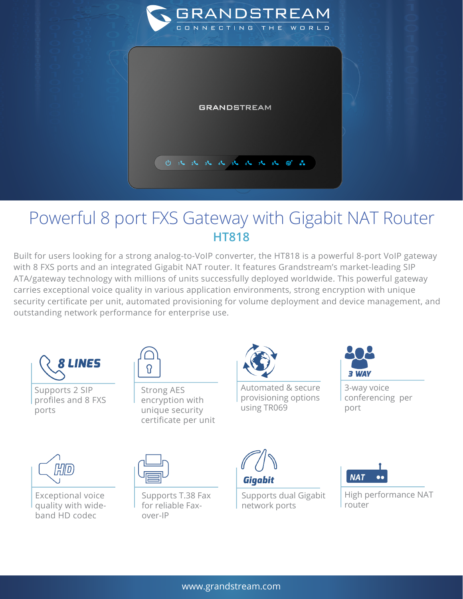

## Powerful 8 port FXS Gateway with Gigabit NAT Router **HT818**

Built for users looking for a strong analog-to-VoIP converter, the HT818 is a powerful 8-port VoIP gateway with 8 FXS ports and an integrated Gigabit NAT router. It features Grandstream's market-leading SIP ATA/gateway technology with millions of units successfully deployed worldwide. This powerful gateway carries exceptional voice quality in various application environments, strong encryption with unique security certificate per unit, automated provisioning for volume deployment and device management, and outstanding network performance for enterprise use.



Supports 2 SIP profiles and 8 FXS ports



Strong AES encryption with unique security certificate per unit



Automated & secure provisioning options using TR069



3-way voice conferencing per port



Exceptional voice quality with wideband HD codec



Supports T.38 Fax for reliable Faxover-IP



Supports dual Gigabit network ports



High performance NAT router